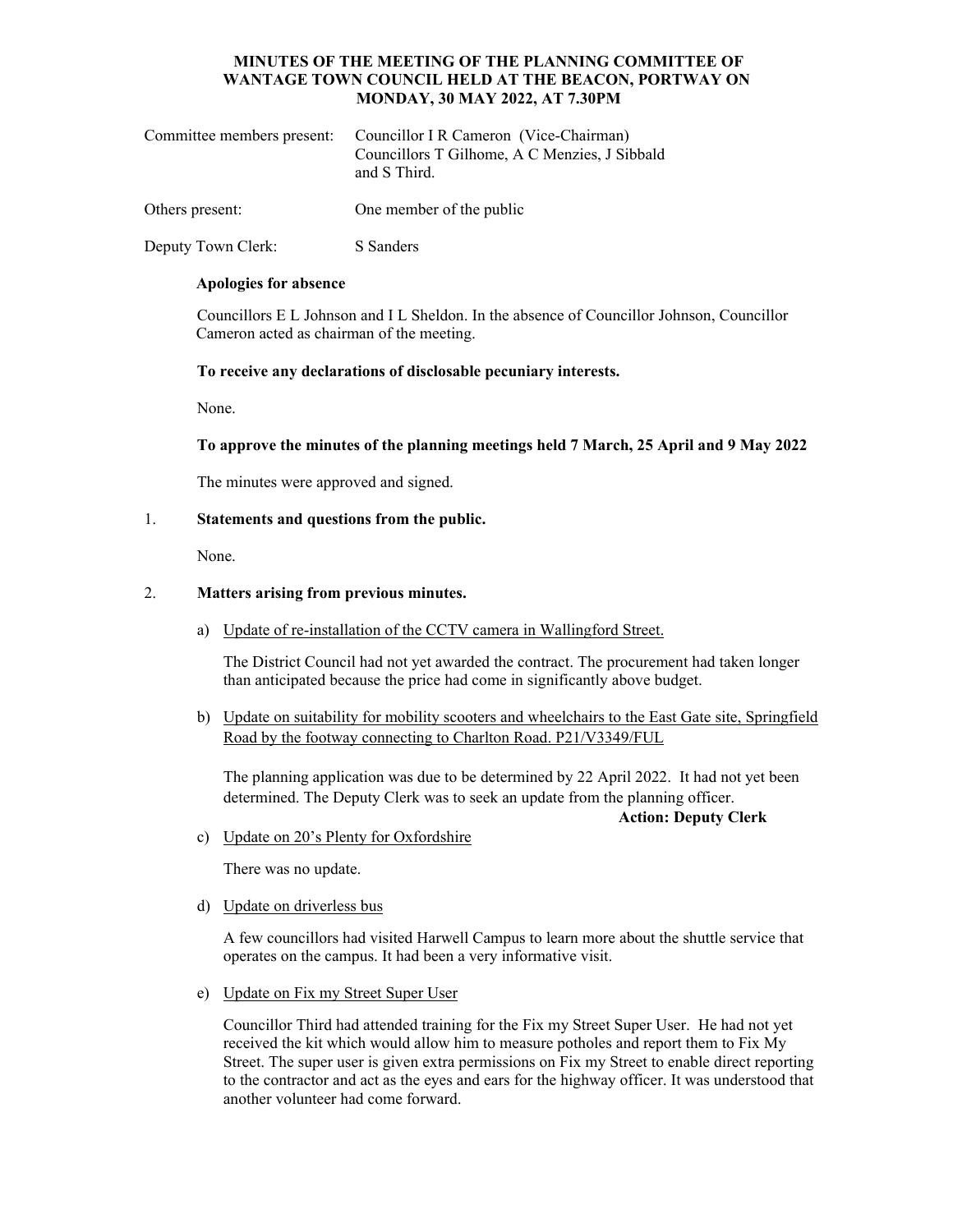# **MINUTES OF THE MEETING OF THE PLANNING COMMITTEE OF WANTAGE TOWN COUNCIL HELD AT THE BEACON, PORTWAY ON MONDAY, 30 MAY 2022, AT 7.30PM**

| Committee members present: Councillor I R Cameron (Vice-Chairman)<br>Councillors T Gilhome, A C Menzies, J Sibbald<br>and S Third. |
|------------------------------------------------------------------------------------------------------------------------------------|
|                                                                                                                                    |

Others present: One member of the public

Deputy Town Clerk: S Sanders

#### **Apologies for absence**

Councillors E L Johnson and I L Sheldon. In the absence of Councillor Johnson, Councillor Cameron acted as chairman of the meeting.

**To receive any declarations of disclosable pecuniary interests.** 

None.

**To approve the minutes of the planning meetings held 7 March, 25 April and 9 May 2022** 

The minutes were approved and signed.

### 1. **Statements and questions from the public.**

None.

### 2. **Matters arising from previous minutes.**

a) Update of re-installation of the CCTV camera in Wallingford Street.

The District Council had not yet awarded the contract. The procurement had taken longer than anticipated because the price had come in significantly above budget.

b) Update on suitability for mobility scooters and wheelchairs to the East Gate site, Springfield Road by the footway connecting to Charlton Road. P21/V3349/FUL

The planning application was due to be determined by 22 April 2022. It had not yet been determined. The Deputy Clerk was to seek an update from the planning officer.

**Action: Deputy Clerk** 

c) Update on 20's Plenty for Oxfordshire

There was no update.

### d) Update on driverless bus

A few councillors had visited Harwell Campus to learn more about the shuttle service that operates on the campus. It had been a very informative visit.

e) Update on Fix my Street Super User

Councillor Third had attended training for the Fix my Street Super User. He had not yet received the kit which would allow him to measure potholes and report them to Fix My Street. The super user is given extra permissions on Fix my Street to enable direct reporting to the contractor and act as the eyes and ears for the highway officer. It was understood that another volunteer had come forward.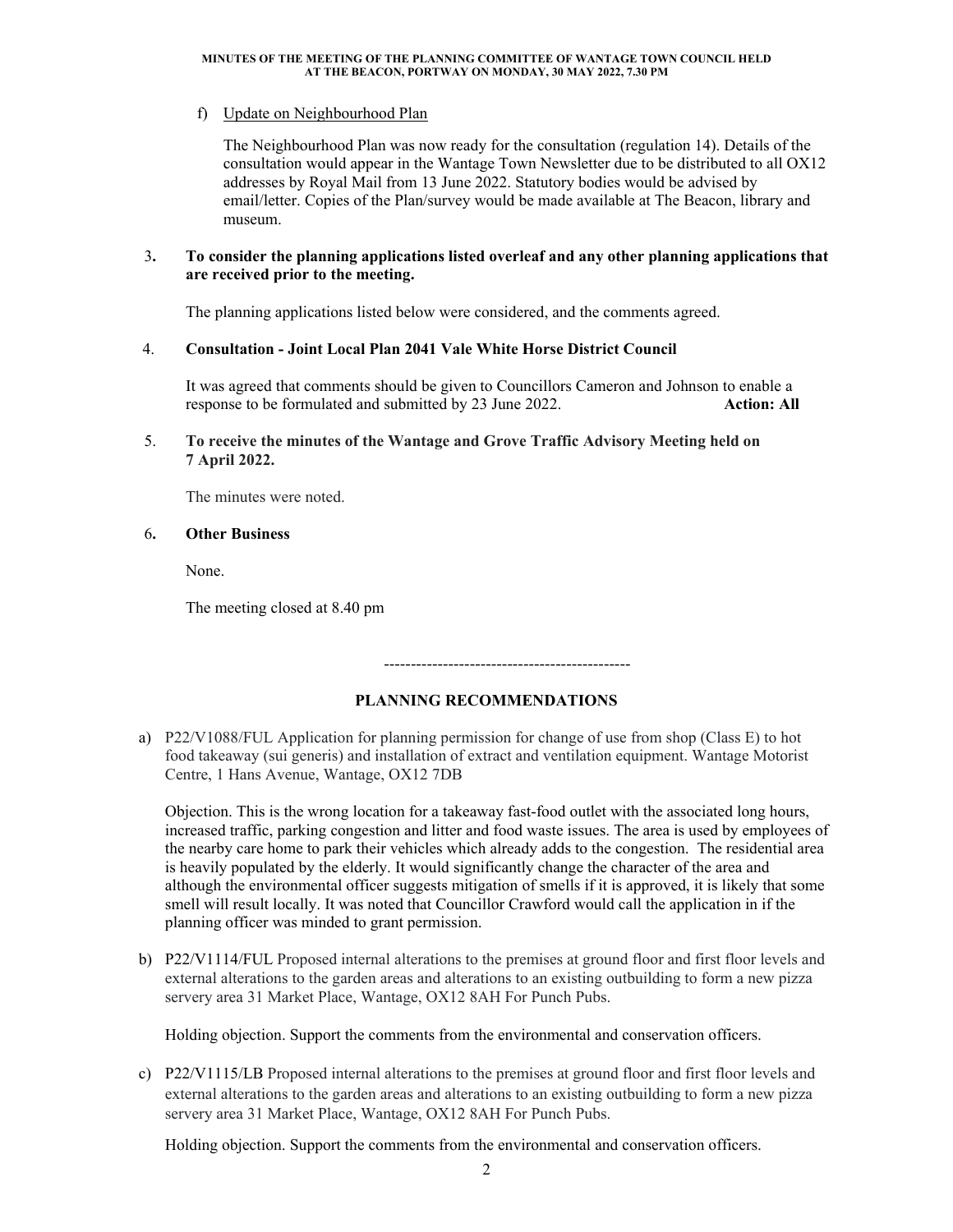#### **MINUTES OF THE MEETING OF THE PLANNING COMMITTEE OF WANTAGE TOWN COUNCIL HELD AT THE BEACON, PORTWAY ON MONDAY, 30 MAY 2022, 7.30 PM**

## f) Update on Neighbourhood Plan

The Neighbourhood Plan was now ready for the consultation (regulation 14). Details of the consultation would appear in the Wantage Town Newsletter due to be distributed to all OX12 addresses by Royal Mail from 13 June 2022. Statutory bodies would be advised by email/letter. Copies of the Plan/survey would be made available at The Beacon, library and museum.

### 3**. To consider the planning applications listed overleaf and any other planning applications that are received prior to the meeting.**

The planning applications listed below were considered, and the comments agreed.

### 4. **Consultation - Joint Local Plan 2041 Vale White Horse District Council**

It was agreed that comments should be given to Councillors Cameron and Johnson to enable a response to be formulated and submitted by 23 June 2022. **Action: All** 

## 5. **To receive the minutes of the Wantage and Grove Traffic Advisory Meeting held on 7 April 2022.**

The minutes were noted.

### 6**. Other Business**

None.

The meeting closed at 8.40 pm

----------------------------------------------

### **PLANNING RECOMMENDATIONS**

a) P22/V1088/FUL Application for planning permission for change of use from shop (Class E) to hot food takeaway (sui generis) and installation of extract and ventilation equipment. Wantage Motorist Centre, 1 Hans Avenue, Wantage, OX12 7DB

Objection. This is the wrong location for a takeaway fast-food outlet with the associated long hours, increased traffic, parking congestion and litter and food waste issues. The area is used by employees of the nearby care home to park their vehicles which already adds to the congestion. The residential area is heavily populated by the elderly. It would significantly change the character of the area and although the environmental officer suggests mitigation of smells if it is approved, it is likely that some smell will result locally. It was noted that Councillor Crawford would call the application in if the planning officer was minded to grant permission.

b) P22/V1114/FUL Proposed internal alterations to the premises at ground floor and first floor levels and external alterations to the garden areas and alterations to an existing outbuilding to form a new pizza servery area 31 Market Place, Wantage, OX12 8AH For Punch Pubs.

Holding objection. Support the comments from the environmental and conservation officers.

c) P22/V1115/LB Proposed internal alterations to the premises at ground floor and first floor levels and external alterations to the garden areas and alterations to an existing outbuilding to form a new pizza servery area 31 Market Place, Wantage, OX12 8AH For Punch Pubs.

Holding objection. Support the comments from the environmental and conservation officers.